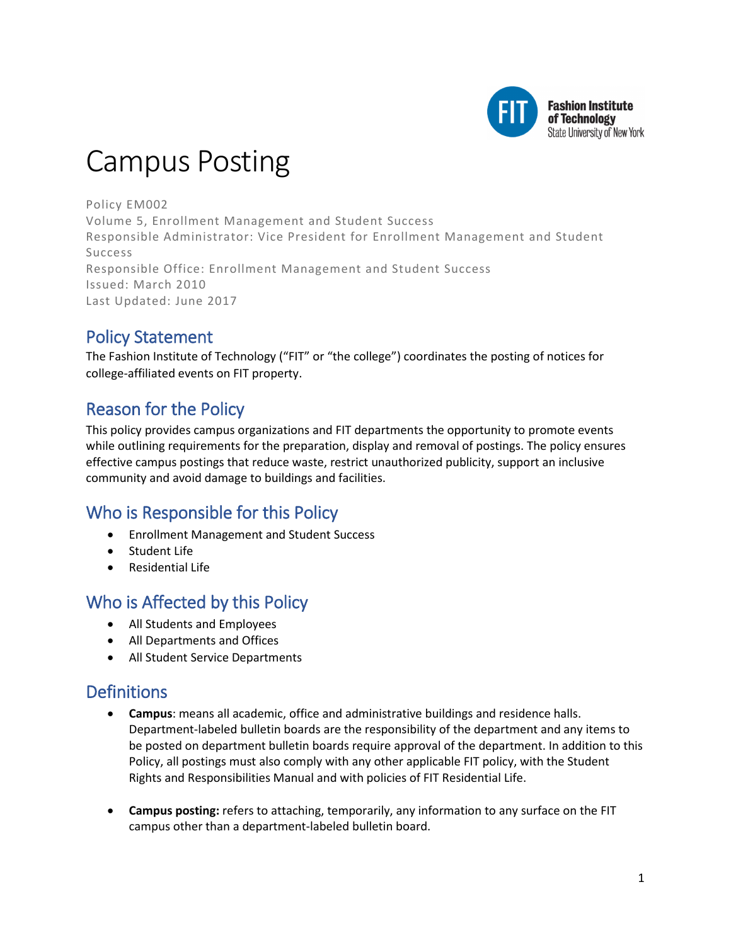

# Campus Posting

Policy EM002 Volume 5, Enrollment Management and Student Success Responsible Administrator: Vice President for Enrollment Management and Student Success Responsible Office: Enrollment Management and Student Success Issued: March 2010 Last Updated: June 2017

# Policy Statement

The Fashion Institute of Technology ("FIT" or "the college") coordinates the posting of notices for college-affiliated events on FIT property.

# Reason for the Policy

This policy provides campus organizations and FIT departments the opportunity to promote events while outlining requirements for the preparation, display and removal of postings. The policy ensures effective campus postings that reduce waste, restrict unauthorized publicity, support an inclusive community and avoid damage to buildings and facilities.

# Who is Responsible for this Policy

- Enrollment Management and Student Success
- Student Life
- Residential Life

# Who is Affected by this Policy

- All Students and Employees
- All Departments and Offices
- All Student Service Departments

# **Definitions**

- **Campus**: means all academic, office and administrative buildings and residence halls. Department-labeled bulletin boards are the responsibility of the department and any items to be posted on department bulletin boards require approval of the department. In addition to this Policy, all postings must also comply with any other applicable FIT policy, with the Student Rights and Responsibilities Manual and with policies of FIT Residential Life.
- **Campus posting:** refers to attaching, temporarily, any information to any surface on the FIT campus other than a department-labeled bulletin board.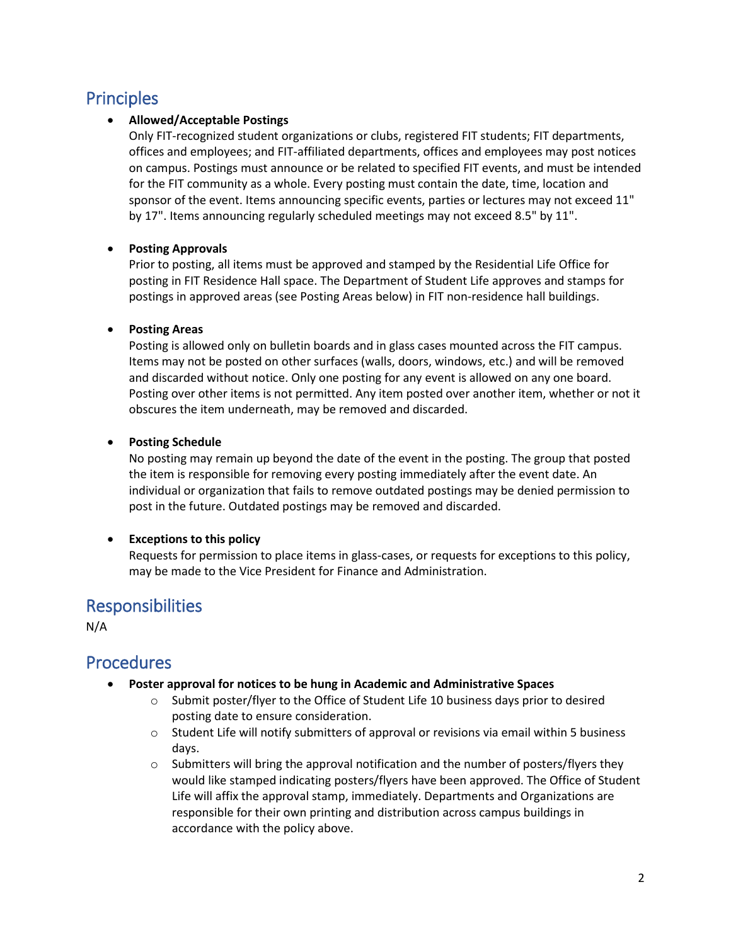# **Principles**

#### • **Allowed/Acceptable Postings**

Only FIT-recognized student organizations or clubs, registered FIT students; FIT departments, offices and employees; and FIT-affiliated departments, offices and employees may post notices on campus. Postings must announce or be related to specified FIT events, and must be intended for the FIT community as a whole. Every posting must contain the date, time, location and sponsor of the event. Items announcing specific events, parties or lectures may not exceed 11" by 17". Items announcing regularly scheduled meetings may not exceed 8.5" by 11".

#### • **Posting Approvals**

Prior to posting, all items must be approved and stamped by the Residential Life Office for posting in FIT Residence Hall space. The Department of Student Life approves and stamps for postings in approved areas (see Posting Areas below) in FIT non-residence hall buildings.

#### • **Posting Areas**

Posting is allowed only on bulletin boards and in glass cases mounted across the FIT campus. Items may not be posted on other surfaces (walls, doors, windows, etc.) and will be removed and discarded without notice. Only one posting for any event is allowed on any one board. Posting over other items is not permitted. Any item posted over another item, whether or not it obscures the item underneath, may be removed and discarded.

#### • **Posting Schedule**

No posting may remain up beyond the date of the event in the posting. The group that posted the item is responsible for removing every posting immediately after the event date. An individual or organization that fails to remove outdated postings may be denied permission to post in the future. Outdated postings may be removed and discarded.

#### • **Exceptions to this policy**

Requests for permission to place items in glass-cases, or requests for exceptions to this policy, may be made to the Vice President for Finance and Administration.

### Responsibilities

N/A

### **Procedures**

- **Poster approval for notices to be hung in Academic and Administrative Spaces**
	- $\circ$  Submit poster/flyer to the Office of Student Life 10 business days prior to desired posting date to ensure consideration.
	- $\circ$  Student Life will notify submitters of approval or revisions via email within 5 business days.
	- $\circ$  Submitters will bring the approval notification and the number of posters/flyers they would like stamped indicating posters/flyers have been approved. The Office of Student Life will affix the approval stamp, immediately. Departments and Organizations are responsible for their own printing and distribution across campus buildings in accordance with the policy above.